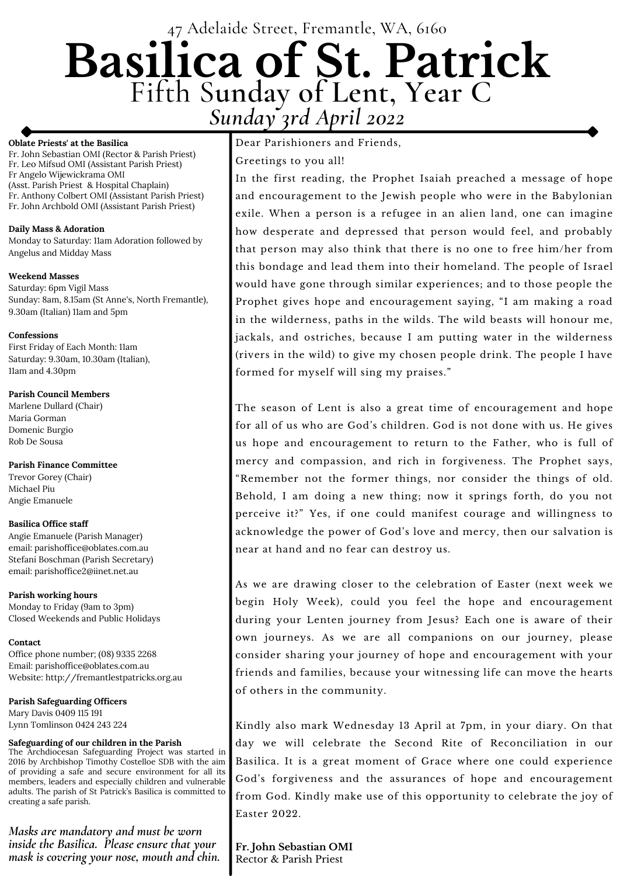# 47 Adelaide Street, Fremantle, WA, 6160 **Basilica of St. Patrick** Fifth S**unday of Lent, Year C** *Sunday 3rd April 2022*

#### **Oblate Priests' at the Basilica**

Fr. John Sebastian OMI (Rector & Parish Priest) Fr. Leo Mifsud OMI (Assistant Parish Priest) Fr Angelo Wijewickrama OMI (Asst. Parish Priest & Hospital Chaplain) Fr. Anthony Colbert OMI (Assistant Parish Priest) Fr. John Archbold OMI (Assistant Parish Priest)

#### **Daily Mass & Adoration**

Monday to Saturday: 11am Adoration followed by Angelus and Midday Mass

#### **Weekend Masses**

Saturday: 6pm Vigil Mass Sunday: 8am, 8.15am (St Anne's, North Fremantle), 9.30am (Italian) 11am and 5pm

#### **Confessions**

First Friday of Each Month: 11am Saturday: 9.30am, 10.30am (Italian), 11am and 4.30pm

#### **Parish Council Members**

Marlene Dullard (Chair) Maria Gorman Domenic Burgio Rob De Sousa

**Parish Finance Committee** Trevor Gorey (Chair) Michael Piu Angie Emanuele

#### **Basilica Office staff**

Angie Emanuele (Parish Manager) email: parishoffice@oblates.com.au Stefani Boschman (Parish Secretary) email: parishoffice2@iinet.net.au

**Parish working hours** Monday to Friday (9am to 3pm) Closed Weekends and Public Holidays

**Contact** Office phone number; (08) 9335 2268

Email: parishoffice@oblates.com.au Website: http://fremantlestpatricks.org.au

**Parish Safeguarding Officers** Mary Davis 0409 115 191 Lynn Tomlinson 0424 243 224

#### **Safeguarding of our children in the Parish**

The Archdiocesan Safeguarding Project was started in 2016 by Archbishop Timothy Costelloe SDB with the aim of providing a safe and secure environment for all its members, leaders and especially children and vulnerable adults. The parish of St Patrick's Basilica is committed to creating a safe parish.

Dear Parishioners and Friends,

Greetings to you all!

In the first reading, the Prophet Isaiah preached a message of hope and encouragement to the Jewish people who were in the Babylonian exile. When a person is a refugee in an alien land, one can imagine how desperate and depressed that person would feel, and probably that person may also think that there is no one to free him/her from this bondage and lead them into their homeland. The people of Israel would have gone through similar experiences; and to those people the Prophet gives hope and encouragement saying, "I am making a road in the wilderness, paths in the wilds. The wild beasts will honour me, jackals, and ostriches, because I am putting water in the wilderness (rivers in the wild) to give my chosen people drink. The people I have formed for myself will sing my praises."

The season of Lent is also a great time of encouragement and hope for all of us who are God's children. God is not done with us. He gives us hope and encouragement to return to the Father, who is full of mercy and compassion, and rich in forgiveness. The Prophet says, "Remember not the former things, nor consider the things of old. Behold, I am doing a new thing; now it springs forth, do you not perceive it?" Yes, if one could manifest courage and willingness to acknowledge the power of God's love and mercy, then our salvation is near at hand and no fear can destroy us.

As we are drawing closer to the celebration of Easter (next week we begin Holy Week), could you feel the hope and encouragement during your Lenten journey from Jesus? Each one is aware of their own journeys. As we are all companions on our journey, please consider sharing your journey of hope and encouragement with your

friends and families, because your witnessing life can move the hearts of others in the community.

Kindly also mark Wednesday 13 April at 7pm, in your diary. On that day we will celebrate the Second Rite of Reconciliation in our Basilica. It is a great moment of Grace where one could experience God's forgiveness and the assurances of hope and encouragement from God. Kindly make use of this opportunity to celebrate the joy of Easter 2022.

**Fr. John Sebastian OMI** Rector & Parish Priest

*Masks are mandatory and must be worn inside the Basilica. Please ensure that your mask is covering your nose, mouth and chin.*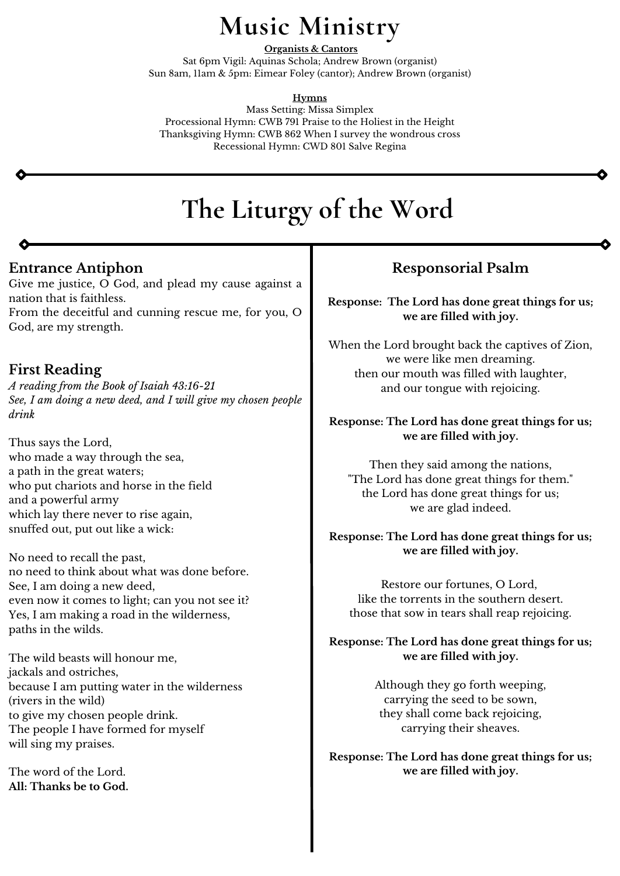## **Entrance Antiphon**

Give me justice, O God, and plead my cause against a nation that is faithless.

From the deceitful and cunning rescue me, for you, O God, are my strength.

## **First Reading**

*A reading from the Book of Isaiah 43:16-21 See, I am doing a new deed, and I will give my chosen people drink*

Thus says the Lord, who made a way through the sea, a path in the great waters; who put chariots and horse in the field and a powerful army which lay there never to rise again, snuffed out, put out like a wick:

No need to recall the past, no need to think about what was done before. See, I am doing a new deed, even now it comes to light; can you not see it? Yes, I am making a road in the wilderness, paths in the wilds.

The wild beasts will honour me,

jackals and ostriches,

because I am putting water in the wilderness (rivers in the wild)

to give my chosen people drink. The people I have formed for myself will sing my praises.

The word of the Lord. **All: Thanks be to God.**

# **The Liturgy of the Word**

# **Music Ministry**

**Organists & Cantors** Sat 6pm Vigil: Aquinas Schola; Andrew Brown (organist) Sun 8am, 11am & 5pm: Eimear Foley (cantor); Andrew Brown (organist)

**Hymns**

Mass Setting: Missa Simplex Processional Hymn: CWB 791 Praise to the Holiest in the Height Thanksgiving Hymn: CWB 862 When I survey the wondrous cross Recessional Hymn: CWD 801 Salve Regina

## **Responsorial Psalm**

**Response: The Lord has done great things for us; we are filled with joy.**

When the Lord brought back the captives of Zion, we were like men dreaming. then our mouth was filled with laughter, and our tongue with rejoicing.

### **Response: The Lord has done great things for us; we are filled with joy.**

Then they said among the nations, "The Lord has done great things for them." the Lord has done great things for us; we are glad indeed.

**Response: The Lord has done great things for us; we are filled with joy.**

Restore our fortunes, O Lord, like the torrents in the southern desert. those that sow in tears shall reap rejoicing.

**Response: The Lord has done great things for us; we are filled with joy.**

> Although they go forth weeping, carrying the seed to be sown, they shall come back rejoicing, carrying their sheaves.

### **Response: The Lord has done great things for us; we are filled with joy.**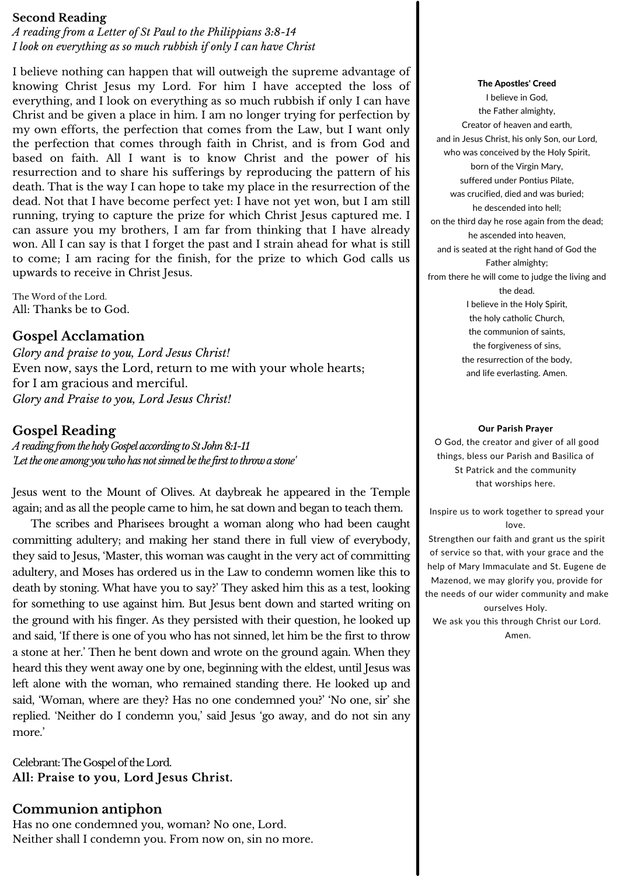## **Gospel Acclamation**

*Glory and praise to you, Lord Jesus Christ!* Even now, says the Lord, return to me with your whole hearts; for I am gracious and merciful. *Glory and Praise to you, Lord Jesus Christ!*

## **Gospel Reading**

*AreadingfromtheholyGospelaccordingtoStJohn8:1-11 'Letthe oneamongyouwhohasnotsinnedbe the firstto throwastone'*

Jesus went to the Mount of Olives. At daybreak he appeared in the Temple again; and as all the people came to him, he sat down and began to teach them.

Celebrant: The Gospel of the Lord. **All: Praise to you, Lord Jesus Christ.**

The scribes and Pharisees brought a woman along who had been caught committing adultery; and making her stand there in full view of everybody, they said to Jesus, 'Master, this woman was caught in the very act of committing adultery, and Moses has ordered us in the Law to condemn women like this to death by stoning. What have you to say?' They asked him this as a test, looking for something to use against him. But Jesus bent down and started writing on the ground with his finger. As they persisted with their question, he looked up and said, 'If there is one of you who has not sinned, let him be the first to throw a stone at her.' Then he bent down and wrote on the ground again. When they heard this they went away one by one, beginning with the eldest, until Jesus was left alone with the woman, who remained standing there. He looked up and said, 'Woman, where are they? Has no one condemned you?' 'No one, sir' she replied. 'Neither do I condemn you,' said Jesus 'go away, and do not sin any more.'

## **Communion antiphon**

Has no one condemned you, woman? No one, Lord. Neither shall I condemn you. From now on, sin no more.

#### The Apostles' Creed I believe in God, the Father almighty, Creator of heaven and earth, and in Jesus Christ, his only Son, our Lord, who was conceived by the Holy Spirit, born of the Virgin Mary, suffered under Pontius Pilate, was crucified, died and was buried; he descended into hell; on the third day he rose again from the dead; he ascended into heaven, and is seated at the right hand of God the Father almighty; from there he will come to judge the living and the dead. I believe in the Holy Spirit, the holy catholic Church, the communion of saints, the forgiveness of sins, the resurrection of the body, and life everlasting. Amen.

#### Our Parish Prayer

O God, the creator and giver of all good things, bless our Parish and Basilica of St Patrick and the community that worships here.

Inspire us to work together to spread your love.

Strengthen our faith and grant us the spirit of service so that, with your grace and the help of Mary Immaculate and St. Eugene de Mazenod, we may glorify you, provide for the needs of our wider community and make ourselves Holy.

We ask you this through Christ our Lord. Amen.

#### **Second Reading**

*A reading from a Letter of St Paul to the Philippians 3:8-14 I look on everything as so much rubbish if only I can have Christ*

I believe nothing can happen that will outweigh the supreme advantage of knowing Christ Jesus my Lord. For him I have accepted the loss of everything, and I look on everything as so much rubbish if only I can have Christ and be given a place in him. I am no longer trying for perfection by my own efforts, the perfection that comes from the Law, but I want only the perfection that comes through faith in Christ, and is from God and based on faith. All I want is to know Christ and the power of his resurrection and to share his sufferings by reproducing the pattern of his death. That is the way I can hope to take my place in the resurrection of the dead. Not that I have become perfect yet: I have not yet won, but I am still running, trying to capture the prize for which Christ Jesus captured me. I can assure you my brothers, I am far from thinking that I have already won. All I can say is that I forget the past and I strain ahead for what is still to come; I am racing for the finish, for the prize to which God calls us upwards to receive in Christ Jesus.

The Word of the Lord. All: Thanks be to God.